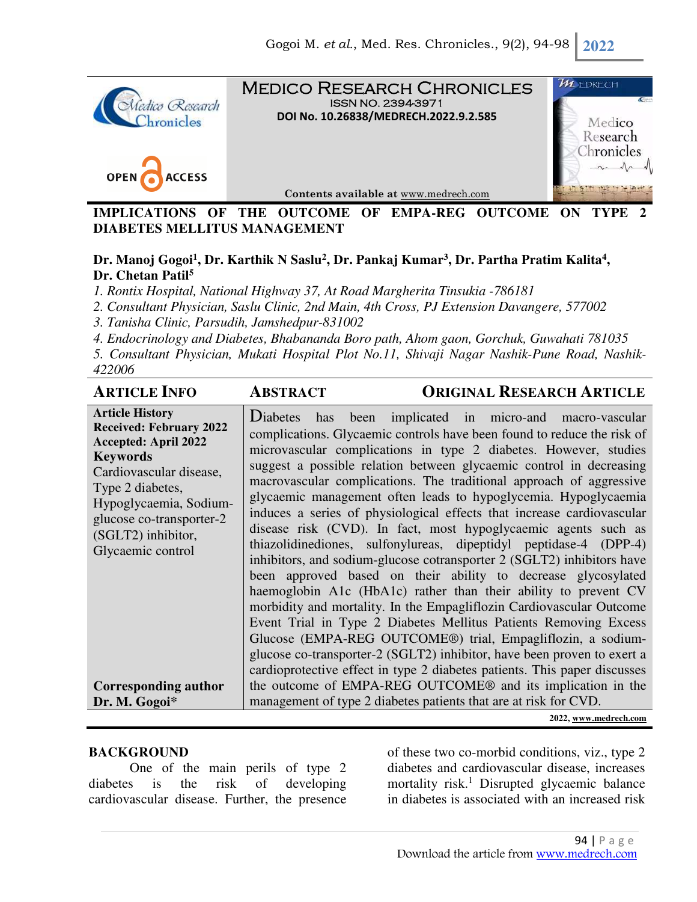

Medico Research Chronicles ISSN NO. 2394-3971 **DOI No. 10.26838/MEDRECH.2022.9.2.585**





**Contents available at** www.medrech.com

**IMPLICATIONS OF THE OUTCOME OF EMPA-REG OUTCOME ON TYPE DIABETES MELLITUS MANAGEMENT** 

# **Dr. Manoj Gogoi<sup>1</sup> , Dr. Karthik N Saslu<sup>2</sup> , Dr. Pankaj Kumar<sup>3</sup> , Dr. Partha Pratim Kalita<sup>4</sup> , Dr. Chetan Patil<sup>5</sup>**

*1. Rontix Hospital, National Highway 37, At Road Margherita Tinsukia -786181* 

*2. Consultant Physician, Saslu Clinic, 2nd Main, 4th Cross, PJ Extension Davangere, 577002* 

*3. Tanisha Clinic, Parsudih, Jamshedpur-831002* 

*4. Endocrinology and Diabetes, Bhabananda Boro path, Ahom gaon, Gorchuk, Guwahati 781035* 

*5. Consultant Physician, Mukati Hospital Plot No.11, Shivaji Nagar Nashik-Pune Road, Nashik-422006* 

| <b>ARTICLE INFO</b>                                                                                                                                                                                                                                        | <b>ABSTRACT</b>                                                  | <b>ORIGINAL RESEARCH ARTICLE</b>                                                                                                                                                                                                                                                                                                                                                                                                                                                                                                                                                                                                                                                                                                                                                                                                                                                                                                                                                                                                                                                                                                                                                                              |
|------------------------------------------------------------------------------------------------------------------------------------------------------------------------------------------------------------------------------------------------------------|------------------------------------------------------------------|---------------------------------------------------------------------------------------------------------------------------------------------------------------------------------------------------------------------------------------------------------------------------------------------------------------------------------------------------------------------------------------------------------------------------------------------------------------------------------------------------------------------------------------------------------------------------------------------------------------------------------------------------------------------------------------------------------------------------------------------------------------------------------------------------------------------------------------------------------------------------------------------------------------------------------------------------------------------------------------------------------------------------------------------------------------------------------------------------------------------------------------------------------------------------------------------------------------|
| <b>Article History</b><br><b>Received: February 2022</b><br><b>Accepted: April 2022</b><br><b>Keywords</b><br>Cardiovascular disease,<br>Type 2 diabetes,<br>Hypoglycaemia, Sodium-<br>glucose co-transporter-2<br>(SGLT2) inhibitor,<br>Glycaemic control | <b>D</b> iabetes<br>has                                          | been implicated in micro-and macro-vascular<br>complications. Glycaemic controls have been found to reduce the risk of<br>microvascular complications in type 2 diabetes. However, studies<br>suggest a possible relation between glycaemic control in decreasing<br>macrovascular complications. The traditional approach of aggressive<br>glycaemic management often leads to hypoglycemia. Hypoglycaemia<br>induces a series of physiological effects that increase cardiovascular<br>disease risk (CVD). In fact, most hypoglycaemic agents such as<br>thiazolidinediones, sulfonylureas, dipeptidyl peptidase-4 (DPP-4)<br>inhibitors, and sodium-glucose cotransporter 2 (SGLT2) inhibitors have<br>been approved based on their ability to decrease glycosylated<br>haemoglobin A1c (HbA1c) rather than their ability to prevent CV<br>morbidity and mortality. In the Empagliflozin Cardiovascular Outcome<br>Event Trial in Type 2 Diabetes Mellitus Patients Removing Excess<br>Glucose (EMPA-REG OUTCOME®) trial, Empagliflozin, a sodium-<br>glucose co-transporter-2 (SGLT2) inhibitor, have been proven to exert a<br>cardioprotective effect in type 2 diabetes patients. This paper discusses |
| <b>Corresponding author</b>                                                                                                                                                                                                                                |                                                                  | the outcome of EMPA-REG OUTCOME <sup>®</sup> and its implication in the                                                                                                                                                                                                                                                                                                                                                                                                                                                                                                                                                                                                                                                                                                                                                                                                                                                                                                                                                                                                                                                                                                                                       |
| Dr. M. Gogoi*                                                                                                                                                                                                                                              | management of type 2 diabetes patients that are at risk for CVD. |                                                                                                                                                                                                                                                                                                                                                                                                                                                                                                                                                                                                                                                                                                                                                                                                                                                                                                                                                                                                                                                                                                                                                                                                               |
|                                                                                                                                                                                                                                                            |                                                                  |                                                                                                                                                                                                                                                                                                                                                                                                                                                                                                                                                                                                                                                                                                                                                                                                                                                                                                                                                                                                                                                                                                                                                                                                               |

#### **2022, www.medrech.com**

## **BACKGROUND**

One of the main perils of type 2 diabetes is the risk of developing cardiovascular disease. Further, the presence

of these two co-morbid conditions, viz., type 2 diabetes and cardiovascular disease, increases mortality risk.<sup>1</sup> Disrupted glycaemic balance in diabetes is associated with an increased risk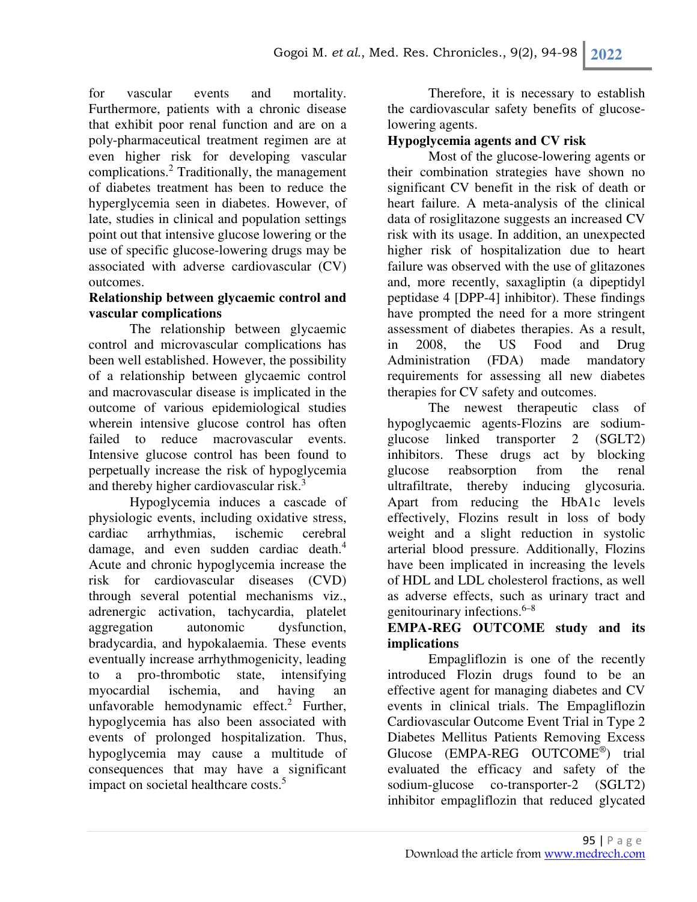for vascular events and mortality. Furthermore, patients with a chronic disease that exhibit poor renal function and are on a poly-pharmaceutical treatment regimen are at even higher risk for developing vascular complications.<sup>2</sup> Traditionally, the management of diabetes treatment has been to reduce the hyperglycemia seen in diabetes. However, of late, studies in clinical and population settings point out that intensive glucose lowering or the use of specific glucose-lowering drugs may be associated with adverse cardiovascular (CV) outcomes.

#### **Relationship between glycaemic control and vascular complications**

The relationship between glycaemic control and microvascular complications has been well established. However, the possibility of a relationship between glycaemic control and macrovascular disease is implicated in the outcome of various epidemiological studies wherein intensive glucose control has often failed to reduce macrovascular events. Intensive glucose control has been found to perpetually increase the risk of hypoglycemia and thereby higher cardiovascular risk.<sup>3</sup>

Hypoglycemia induces a cascade of physiologic events, including oxidative stress, cardiac arrhythmias, ischemic cerebral damage, and even sudden cardiac death.<sup>4</sup> Acute and chronic hypoglycemia increase the risk for cardiovascular diseases (CVD) through several potential mechanisms viz., adrenergic activation, tachycardia, platelet aggregation autonomic dysfunction, bradycardia, and hypokalaemia. These events eventually increase arrhythmogenicity, leading to a pro-thrombotic state, intensifying myocardial ischemia, and having an unfavorable hemodynamic effect.<sup>2</sup> Further, hypoglycemia has also been associated with events of prolonged hospitalization. Thus, hypoglycemia may cause a multitude of consequences that may have a significant impact on societal healthcare costs.<sup>5</sup>

Therefore, it is necessary to establish the cardiovascular safety benefits of glucoselowering agents.

## **Hypoglycemia agents and CV risk**

Most of the glucose-lowering agents or their combination strategies have shown no significant CV benefit in the risk of death or heart failure. A meta-analysis of the clinical data of rosiglitazone suggests an increased CV risk with its usage. In addition, an unexpected higher risk of hospitalization due to heart failure was observed with the use of glitazones and, more recently, saxagliptin (a dipeptidyl peptidase 4 [DPP-4] inhibitor). These findings have prompted the need for a more stringent assessment of diabetes therapies. As a result, in 2008, the US Food and Drug Administration (FDA) made mandatory requirements for assessing all new diabetes therapies for CV safety and outcomes.

The newest therapeutic class of hypoglycaemic agents-Flozins are sodiumglucose linked transporter 2 (SGLT2) inhibitors. These drugs act by blocking glucose reabsorption from the renal ultrafiltrate, thereby inducing glycosuria. Apart from reducing the HbA1c levels effectively, Flozins result in loss of body weight and a slight reduction in systolic arterial blood pressure. Additionally, Flozins have been implicated in increasing the levels of HDL and LDL cholesterol fractions, as well as adverse effects, such as urinary tract and genitourinary infections.<sup>6–8</sup>

# **EMPA-REG OUTCOME study and its implications**

Empagliflozin is one of the recently introduced Flozin drugs found to be an effective agent for managing diabetes and CV events in clinical trials. The Empagliflozin Cardiovascular Outcome Event Trial in Type 2 Diabetes Mellitus Patients Removing Excess Glucose (EMPA-REG OUTCOME®) trial evaluated the efficacy and safety of the sodium-glucose co-transporter-2 (SGLT2) inhibitor empagliflozin that reduced glycated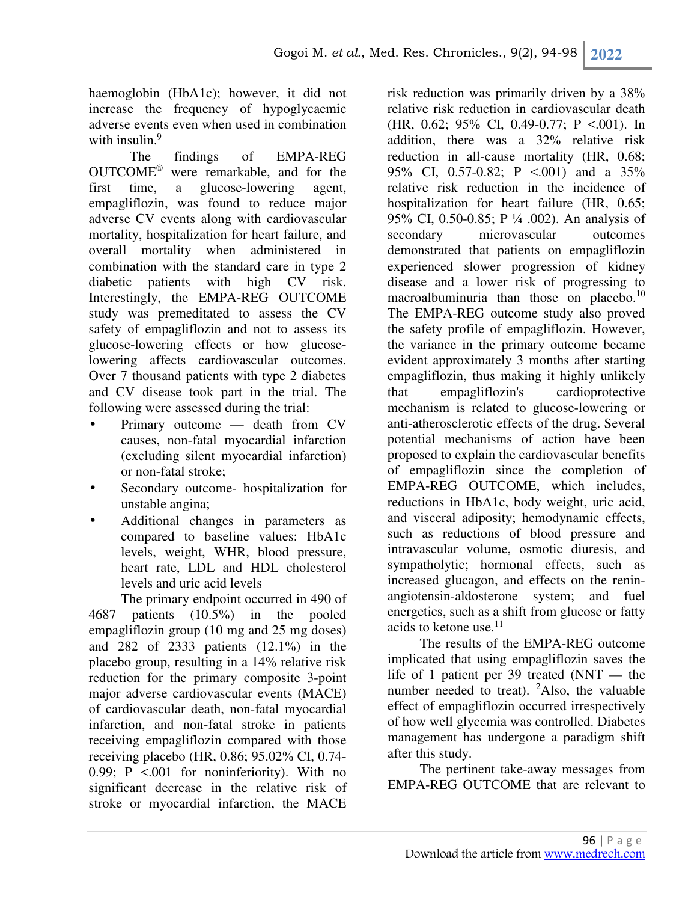haemoglobin (HbA1c); however, it did not increase the frequency of hypoglycaemic adverse events even when used in combination with insulin.<sup>9</sup>

The findings of EMPA-REG OUTCOME® were remarkable, and for the first time, a glucose-lowering agent, empagliflozin, was found to reduce major adverse CV events along with cardiovascular mortality, hospitalization for heart failure, and overall mortality when administered in combination with the standard care in type 2 diabetic patients with high CV risk. Interestingly, the EMPA-REG OUTCOME study was premeditated to assess the CV safety of empagliflozin and not to assess its glucose-lowering effects or how glucoselowering affects cardiovascular outcomes. Over 7 thousand patients with type 2 diabetes and CV disease took part in the trial. The following were assessed during the trial:

- Primary outcome death from CV causes, non-fatal myocardial infarction (excluding silent myocardial infarction) or non-fatal stroke;
- Secondary outcome- hospitalization for unstable angina;
- Additional changes in parameters as compared to baseline values: HbA1c levels, weight, WHR, blood pressure, heart rate, LDL and HDL cholesterol levels and uric acid levels

The primary endpoint occurred in 490 of 4687 patients (10.5%) in the pooled empagliflozin group (10 mg and 25 mg doses) and 282 of 2333 patients (12.1%) in the placebo group, resulting in a 14% relative risk reduction for the primary composite 3-point major adverse cardiovascular events (MACE) of cardiovascular death, non-fatal myocardial infarction, and non-fatal stroke in patients receiving empagliflozin compared with those receiving placebo (HR, 0.86; 95.02% CI, 0.74- 0.99;  $P \le 0.001$  for noninferiority). With no significant decrease in the relative risk of stroke or myocardial infarction, the MACE

risk reduction was primarily driven by a 38% relative risk reduction in cardiovascular death (HR, 0.62; 95% CI, 0.49-0.77; P <.001). In addition, there was a 32% relative risk reduction in all-cause mortality (HR, 0.68; 95% CI, 0.57-0.82; P <.001) and a 35% relative risk reduction in the incidence of hospitalization for heart failure (HR, 0.65; 95% CI, 0.50-0.85; P ¼ .002). An analysis of secondary microvascular outcomes demonstrated that patients on empagliflozin experienced slower progression of kidney disease and a lower risk of progressing to macroalbuminuria than those on placebo.<sup>10</sup> The EMPA-REG outcome study also proved the safety profile of empagliflozin. However, the variance in the primary outcome became evident approximately 3 months after starting empagliflozin, thus making it highly unlikely that empagliflozin's cardioprotective mechanism is related to glucose-lowering or anti-atherosclerotic effects of the drug. Several potential mechanisms of action have been proposed to explain the cardiovascular benefits of empagliflozin since the completion of EMPA-REG OUTCOME, which includes, reductions in HbA1c, body weight, uric acid, and visceral adiposity; hemodynamic effects, such as reductions of blood pressure and intravascular volume, osmotic diuresis, and sympatholytic; hormonal effects, such as increased glucagon, and effects on the reninangiotensin-aldosterone system; and fuel energetics, such as a shift from glucose or fatty acids to ketone use. $11$ 

The results of the EMPA-REG outcome implicated that using empagliflozin saves the life of 1 patient per 39 treated (NNT — the number needed to treat).  $^{2}$ Also, the valuable effect of empagliflozin occurred irrespectively of how well glycemia was controlled. Diabetes management has undergone a paradigm shift after this study.

The pertinent take-away messages from EMPA-REG OUTCOME that are relevant to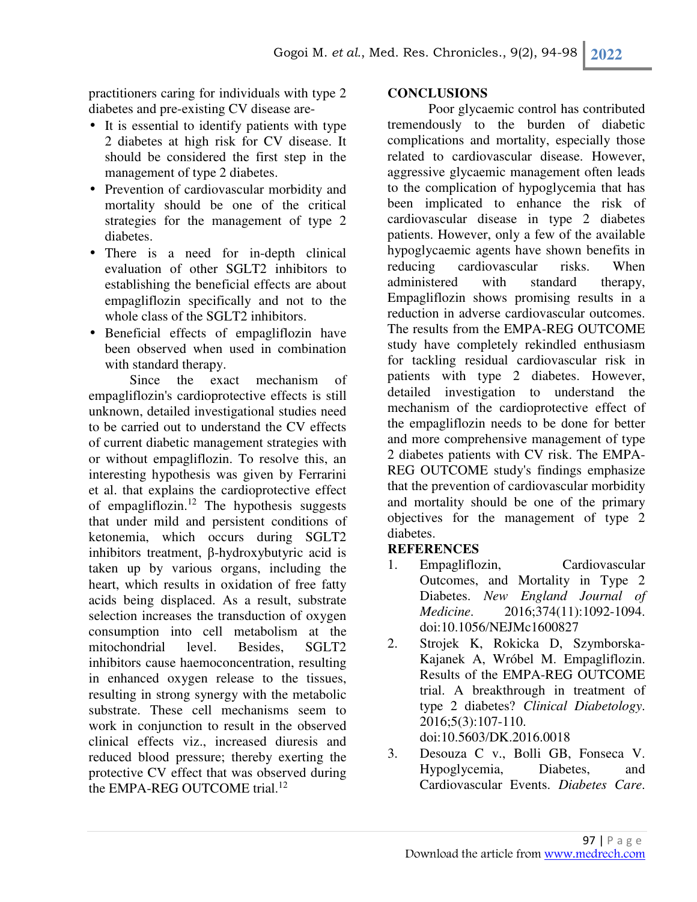practitioners caring for individuals with type 2 diabetes and pre-existing CV disease are-

- It is essential to identify patients with type 2 diabetes at high risk for CV disease. It should be considered the first step in the management of type 2 diabetes.
- Prevention of cardiovascular morbidity and mortality should be one of the critical strategies for the management of type 2 diabetes.
- There is a need for in-depth clinical evaluation of other SGLT2 inhibitors to establishing the beneficial effects are about empagliflozin specifically and not to the whole class of the SGLT2 inhibitors.
- Beneficial effects of empagliflozin have been observed when used in combination with standard therapy.

Since the exact mechanism of empagliflozin's cardioprotective effects is still unknown, detailed investigational studies need to be carried out to understand the CV effects of current diabetic management strategies with or without empagliflozin. To resolve this, an interesting hypothesis was given by Ferrarini et al. that explains the cardioprotective effect of empagliflozin.<sup>12</sup> The hypothesis suggests that under mild and persistent conditions of ketonemia, which occurs during SGLT2 inhibitors treatment, β-hydroxybutyric acid is taken up by various organs, including the heart, which results in oxidation of free fatty acids being displaced. As a result, substrate selection increases the transduction of oxygen consumption into cell metabolism at the mitochondrial level. Besides, SGLT2 inhibitors cause haemoconcentration, resulting in enhanced oxygen release to the tissues, resulting in strong synergy with the metabolic substrate. These cell mechanisms seem to work in conjunction to result in the observed clinical effects viz., increased diuresis and reduced blood pressure; thereby exerting the protective CV effect that was observed during the EMPA-REG OUTCOME trial. $12$ 

## **CONCLUSIONS**

 Poor glycaemic control has contributed tremendously to the burden of diabetic complications and mortality, especially those related to cardiovascular disease. However, aggressive glycaemic management often leads to the complication of hypoglycemia that has been implicated to enhance the risk of cardiovascular disease in type 2 diabetes patients. However, only a few of the available hypoglycaemic agents have shown benefits in reducing cardiovascular risks. When administered with standard therapy, Empagliflozin shows promising results in a reduction in adverse cardiovascular outcomes. The results from the EMPA-REG OUTCOME study have completely rekindled enthusiasm for tackling residual cardiovascular risk in patients with type 2 diabetes. However, detailed investigation to understand the mechanism of the cardioprotective effect of the empagliflozin needs to be done for better and more comprehensive management of type 2 diabetes patients with CV risk. The EMPA-REG OUTCOME study's findings emphasize that the prevention of cardiovascular morbidity and mortality should be one of the primary objectives for the management of type 2 diabetes.

## **REFERENCES**

- 1. Empagliflozin, Cardiovascular Outcomes, and Mortality in Type 2 Diabetes. *New England Journal of Medicine*. 2016;374(11):1092-1094. doi:10.1056/NEJMc1600827
- 2. Strojek K, Rokicka D, Szymborska-Kajanek A, Wróbel M. Empagliflozin. Results of the EMPA-REG OUTCOME trial. A breakthrough in treatment of type 2 diabetes? *Clinical Diabetology*. 2016;5(3):107-110. doi:10.5603/DK.2016.0018
- 3. Desouza C v., Bolli GB, Fonseca V. Hypoglycemia, Diabetes, and Cardiovascular Events. *Diabetes Care*.